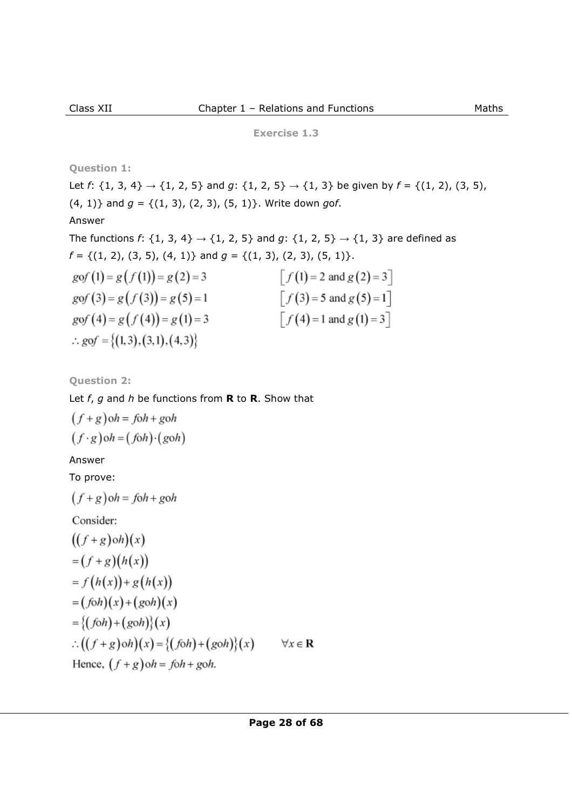**Exercise 1.3** 

**Question 1:** 

Let *f*:  $\{1, 3, 4\} \rightarrow \{1, 2, 5\}$  and *g*:  $\{1, 2, 5\} \rightarrow \{1, 3\}$  be given by  $f = \{(1, 2), (3, 5),$ (4, 1)} and *g* = {(1, 3), (2, 3), (5, 1)}. Write down *g*o*f*. Answer The functions *f*:  $\{1, 3, 4\} \rightarrow \{1, 2, 5\}$  and *g*:  $\{1, 2, 5\} \rightarrow \{1, 3\}$  are defined as  $f = \{(1, 2), (3, 5), (4, 1)\}$  and  $g = \{(1, 3), (2, 3), (5, 1)\}.$  $gof(1) = g(f(1)) = g(2) = 3$  $[f(1) = 2 \text{ and } g(2) = 3]$  $g \circ f (3) = g(f(3)) = g(5) = 1$   $[f(3) = 5 \text{ and } g(5) = 1]$  $gof (4) = g(f(4)) = g(1) = 3$  $[f(4)=1 \text{ and } g(1)=3]$  $\therefore$  gof = {(1,3),(3,1),(4,3)}

**Question 2:** 

Let *f*, *g* and *h* be functions from **R** to **R**. Show that

$$
(f+g) \circ h = f \circ h + g \circ h
$$

$$
(f \cdot g) \circ h = (f \circ h) \cdot (g \circ h)
$$

Answer

To prove:

$$
(f+g) \text{ } ob = f \text{ } ob + g \text{ } ob
$$

Consider:

$$
((f+g) \circ h)(x)
$$
  
=  $(f+g)(h(x))$   
=  $f(h(x)) + g(h(x))$   
=  $(f \circ h)(x) + (g \circ h)(x)$   
=  $\{(f \circ h) + (g \circ h)\}(x)$   
 $\therefore ((f+g) \circ h)(x) = \{(f \circ h) + (g \circ h)\}(x) \qquad \forall x \in \mathbb{R}$   
Hence,  $(f+g) \circ h = f \circ h + g \circ h$ .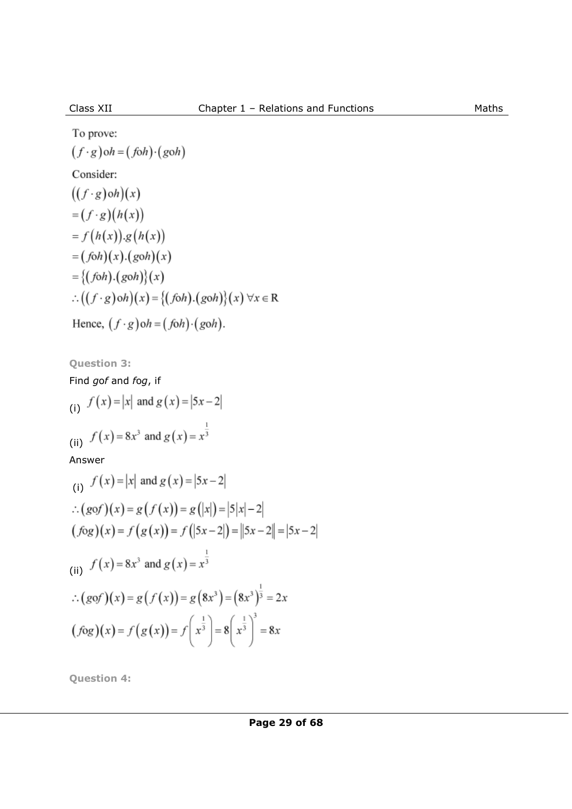To prove:  
\n
$$
(f \cdot g)
$$
oh =  $(f \circ h) \cdot (g \circ h)$   
\nConsider:  
\n $((f \cdot g) \circ h)(x)$   
\n $= (f \cdot g)(h(x))$   
\n $= f(h(x)).g(h(x))$   
\n $= (f \circ h)(x).(g \circ h)(x)$   
\n $= \{(f \circ h).(g \circ h)\}(x)$   
\n $\therefore ((f \cdot g) \circ h)(x) = \{(f \circ h).(g \circ h)\}(x) \forall x \in \mathbb{R}$   
\nHence,  $(f \cdot g) \circ h = (f \circ h) \cdot (g \circ h)$ .

Question 3:  
\nFind *gof* and *fog*, if  
\n(i) 
$$
f(x) = |x|
$$
 and  $g(x) = |5x - 2|$   
\n(ii)  $f(x) = 8x^3$  and  $g(x) = x^{\frac{1}{3}}$   
\nAnswer  
\n(i)  $f(x) = |x|$  and  $g(x) = |5x - 2|$   
\n $\therefore (gof)(x) = g(f(x)) = g(|x|) = |5|x| - 2|$   
\n $(fog)(x) = f(g(x)) = f(|5x - 2|) = ||5x - 2|| = |5x - 2|$   
\n(ii)  $f(x) = 8x^3$  and  $g(x) = x^{\frac{1}{3}}$   
\n $\therefore (gof)(x) = g(f(x)) = g(8x^3) = (8x^3)^{\frac{1}{3}} = 2x$   
\n $(fog)(x) = f(g(x)) = f(x^{\frac{1}{3}}) = 8(x^{\frac{1}{3}})^3 = 8x$ 

**Question 4:**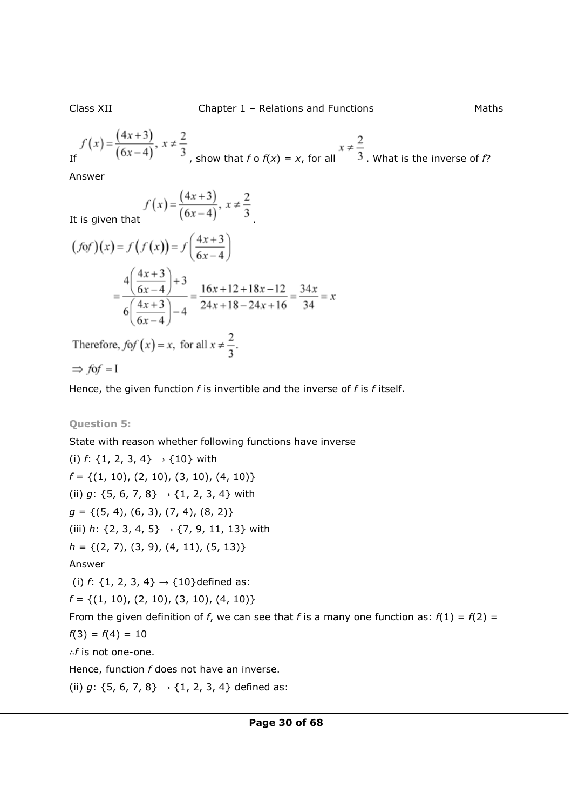$f(x) = \frac{(4x+3)}{(6x-4)}$ ,  $x \neq \frac{2}{3}$ , show that *f* o *f*(*x*) = *x*, for all  $x \neq \frac{2}{3}$ . What is the inverse of *f*?

Answer

$$
f(x) = \frac{(4x+3)}{(6x-4)}, x \neq \frac{2}{3}
$$

It is given that

$$
(f \circ f)(x) = f(f(x)) = f\left(\frac{4x+3}{6x-4}\right)
$$

$$
= \frac{4\left(\frac{4x+3}{6x-4}\right) + 3}{6\left(\frac{4x+3}{6x-4}\right) - 4} = \frac{16x+12+18x-12}{24x+18-24x+16} = \frac{34x}{34} = x
$$

Therefore,  $f \circ f(x) = x$ , for all  $x \neq \frac{2}{3}$ .

$$
\Rightarrow f \circ f = I
$$

Hence, the given function *f* is invertible and the inverse of *f* is *f* itself.

## **Question 5:**

State with reason whether following functions have inverse (i)  $f: \{1, 2, 3, 4\} \rightarrow \{10\}$  with  $f = \{(1, 10), (2, 10), (3, 10), (4, 10)\}$ (ii)  $g: \{5, 6, 7, 8\} \rightarrow \{1, 2, 3, 4\}$  with  $g = \{(5, 4), (6, 3), (7, 4), (8, 2)\}\$ (iii) *h*: {2, 3, 4, 5} → {7, 9, 11, 13} with *h* = {(2, 7), (3, 9), (4, 11), (5, 13)} Answer (i)  $f: \{1, 2, 3, 4\} \rightarrow \{10\}$ defined as:  $f = \{(1, 10), (2, 10), (3, 10), (4, 10)\}$ From the given definition of *f*, we can see that *f* is a many one function as:  $f(1) = f(2) =$  $f(3) = f(4) = 10$ ∴*f* is not one-one. Hence, function *f* does not have an inverse. (ii) *g*: {5, 6, 7, 8}  $\rightarrow$  {1, 2, 3, 4} defined as: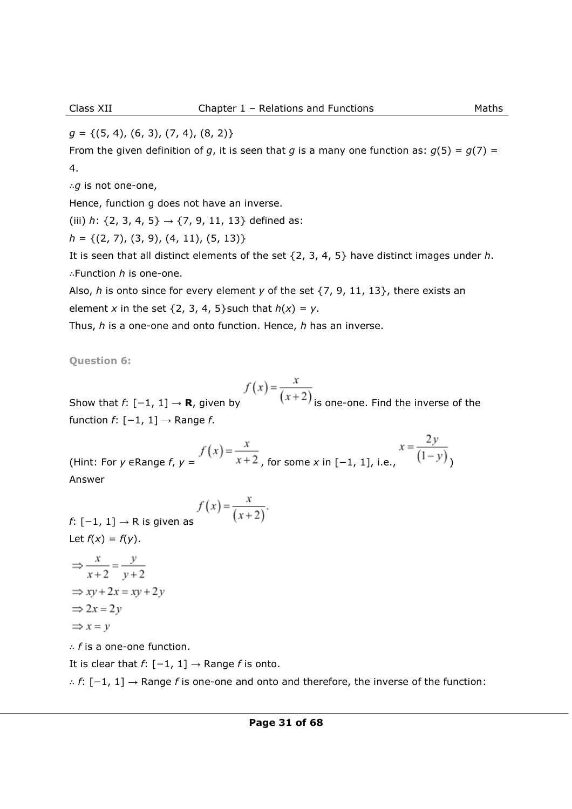$q = \{(5, 4), (6, 3), (7, 4), (8, 2)\}\$ 

From the given definition of *g*, it is seen that *g* is a many one function as:  $g(5) = g(7) =$ 4.

∴*g* is not one-one,

Hence, function g does not have an inverse.

(iii) *h*: {2, 3, 4, 5} → {7, 9, 11, 13} defined as:

*h* = {(2, 7), (3, 9), (4, 11), (5, 13)}

It is seen that all distinct elements of the set {2, 3, 4, 5} have distinct images under *h*. ∴Function *h* is one-one.

Also, *h* is onto since for every element *y* of the set {7, 9, 11, 13}, there exists an element *x* in the set  $\{2, 3, 4, 5\}$  such that  $h(x) = y$ .

Thus, *h* is a one-one and onto function. Hence, *h* has an inverse.

**Question 6:** 

$$
x = \frac{x}{\sqrt{1-x}}
$$

 $f(x) = \frac{f(x)}{f(x+2)}$  is one-one. Find the inverse of the function *f*: [−1, 1] → Range *f*.

(Hint: For *y* ∈Range *f*, *y* =  $\frac{f(x) = \frac{x}{x+2}}{x+2}$ , for some *x* in [−1, 1], i.e.,  $\frac{2y}{(1-y)}$ Answer

$$
f(x) = \frac{x}{(x+2)}.
$$
  
Let  $f(x) = f(y)$ .

$$
\Rightarrow \frac{y}{x+2} = \frac{y}{y+2}
$$
  
\n
$$
\Rightarrow xy + 2x = xy + 2y
$$
  
\n
$$
\Rightarrow 2x = 2y
$$
  
\n
$$
\Rightarrow x = y
$$

∴ *f* is a one-one function.

It is clear that  $f: [-1, 1] \rightarrow$  Range  $f$  is onto.

∴ *f*: [−1, 1] → Range *f* is one-one and onto and therefore, the inverse of the function: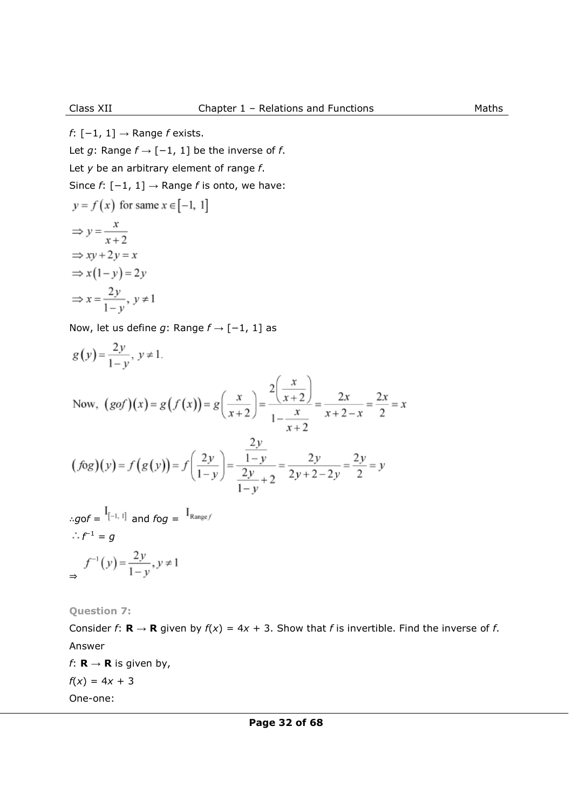*f*: [−1, 1] → Range *f* exists.

Let *g*: Range  $f$  → [-1, 1] be the inverse of *f*.

Let *y* be an arbitrary element of range *f*.

Since *f*: [−1, 1] → Range *f* is onto, we have:

 $1]$ 

$$
y = f(x) \text{ for same } x \in [-1,
$$
  
\n
$$
\Rightarrow y = \frac{x}{x+2}
$$
  
\n
$$
\Rightarrow xy + 2y = x
$$
  
\n
$$
\Rightarrow x(1-y) = 2y
$$
  
\n
$$
\Rightarrow x = \frac{2y}{1-y}, y \neq 1
$$

Now, let us define *g*: Range *f* → [−1, 1] as

$$
g(y) = \frac{2y}{1-y}, y \neq 1.
$$

Now, 
$$
(gof)(x) = g(f(x)) = g\left(\frac{x}{x+2}\right) = \frac{2\left(\frac{x}{x+2}\right)}{1-\frac{x}{x+2}} = \frac{2x}{x+2-x} = \frac{2x}{2} = x
$$

$$
(f \circ g)(y) = f(g(y)) = f\left(\frac{2y}{1-y}\right) = \frac{\frac{2y}{1-y}}{\frac{2y}{1-y} + 2} = \frac{2y}{2y + 2 - 2y} = \frac{2y}{2} = y
$$

$$
\therefore g \circ f = \frac{I_{[-1, 1]} \text{ and } f \circ g = \frac{I_{\text{Range}}}{f}
$$

$$
\therefore f^{-1} = g
$$

$$
\Rightarrow f^{-1}(y) = \frac{2y}{1 - y}, y \neq 1
$$

**Question 7:** 

Consider  $f: \mathbf{R} \to \mathbf{R}$  given by  $f(x) = 4x + 3$ . Show that *f* is invertible. Find the inverse of *f*. Answer

*f*:  $\mathbf{R} \rightarrow \mathbf{R}$  is given by,  $f(x) = 4x + 3$ One-one: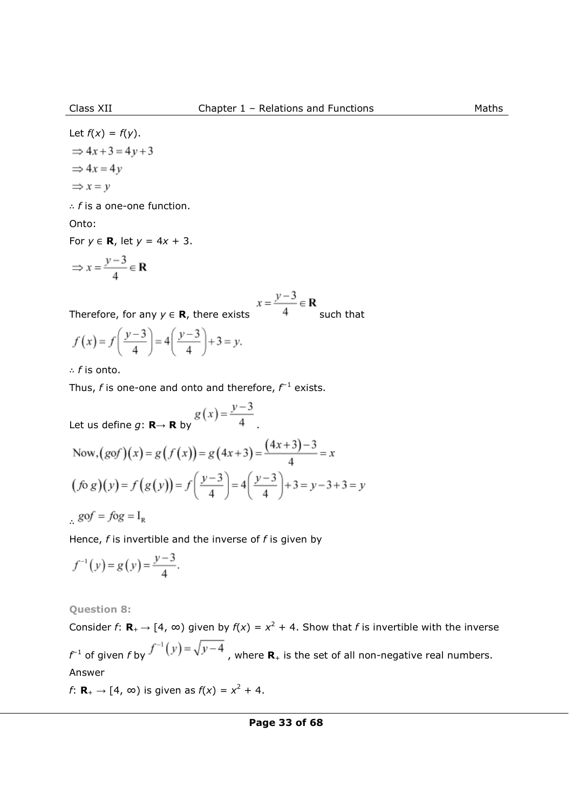Let  $f(x) = f(y)$ .

 $\Rightarrow 4x + 3 = 4y + 3$  $\Rightarrow$  4x = 4y  $\Rightarrow$  x = y ∴ *f* is a one-one function. Onto: For *y* ∈ **R**, let *y* =  $4x + 3$ .

$$
\Rightarrow x = \frac{y-3}{4} \in \mathbf{R}
$$

Therefore, for any  $y \in \mathbf{R}$ , there exists  $x = \frac{y-3}{4} \in \mathbf{R}$  such that  $f(x) = f\left(\frac{y-3}{4}\right) = 4\left(\frac{y-3}{4}\right) + 3 = y.$ 

∴ *f* is onto.

Thus, *f* is one-one and onto and therefore,  $f^{-1}$  exists.

Let us define *g*: **R**→ **R** by  $g(x) = \frac{y-3}{4}$ .

Now, 
$$
(g \circ f)(x) = g(f(x)) = g(4x+3) = \frac{(4x+3)-3}{4} = x
$$
  
\n $(f \circ g)(y) = f(g(y)) = f(\frac{y-3}{4}) = 4(\frac{y-3}{4}) + 3 = y-3+3 = y$ 

$$
gof = fog = I_R
$$

Hence, *f* is invertible and the inverse of *f* is given by

$$
f^{-1}(y) = g(y) = \frac{y-3}{4}.
$$

**Question 8:** 

Consider *f*:  $\mathbf{R}_{+} \rightarrow [4, \infty)$  given by  $f(x) = x^2 + 4$ . Show that *f* is invertible with the inverse  $f^{-1}$  of given f by  $\frac{f^{-1}}{f}$  ( $\frac{f}{f}$ )  $-\sqrt{f^{-1}}$ , where **R**<sub>+</sub> is the set of all non-negative real numbers. Answer

*f*: **R**<sub>+</sub> → [4, ∞) is given as  $f(x) = x^2 + 4$ .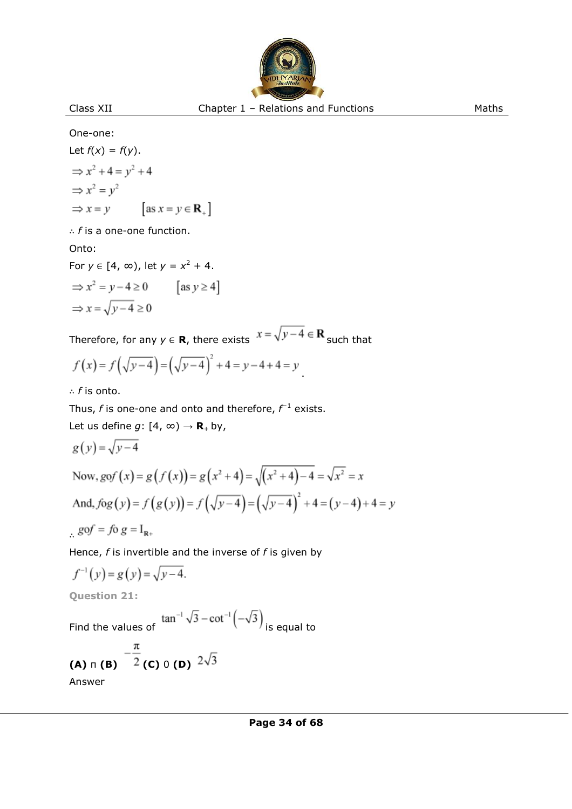

Class XII **Chapter 1 – Relations and Functions** Maths

One-one:

Let  $f(x) = f(y)$ .  $\Rightarrow x^2 + 4 = y^2 + 4$  $\Rightarrow$   $x^2 = y^2$  $\Rightarrow$   $x = y$  [as  $x = y \in \mathbf{R}_{+}$ ]

∴ *f* is a one-one function.

Onto:

For *y* ∈ [4, ∞), let *y* =  $x^2$  + 4.  $\Rightarrow$   $x^2 = y - 4 \ge 0$  [as  $y \ge 4$ ]  $\Rightarrow$  x =  $\sqrt{y-4} \ge 0$ 

Therefore, for any  $y \in \mathbf{R}$ , there exists  $x = \sqrt{y-4} \in \mathbf{R}$  such that

$$
f(x) = f(\sqrt{y-4}) = (\sqrt{y-4})^2 + 4 = y - 4 + 4 = y
$$

∴ *f* is onto.

Thus, *f* is one-one and onto and therefore,  $f^{-1}$  exists.

Let us define  $g: [4, \infty) \rightarrow \mathbf{R}_{+}$  by,

$$
g(y) = \sqrt{y-4}
$$

Now, gof  $(x) = g(f(x)) = g(x^2 + 4) = \sqrt{x^2 + 4} - 4 = \sqrt{x^2} = x$ And,  $f \circ g(y) = f(g(y)) = f(\sqrt{y-4}) = (\sqrt{y-4})^2 + 4 = (y-4) + 4 = y$ 

$$
gof = f0 g = I_{R+}
$$

Hence, *f* is invertible and the inverse of *f* is given by

$$
f^{-1}(y) = g(y) = \sqrt{y-4}.
$$

**Question 21:** 

Find the values of  $\tan^{-1}\sqrt{3} - \cot^{-1}(-\sqrt{3})$  is equal to

**(A)** 
$$
\pi
$$
 **(B)**  $-\frac{\pi}{2}$  **(C)** 0 **(D)**  $2\sqrt{3}$   
Answer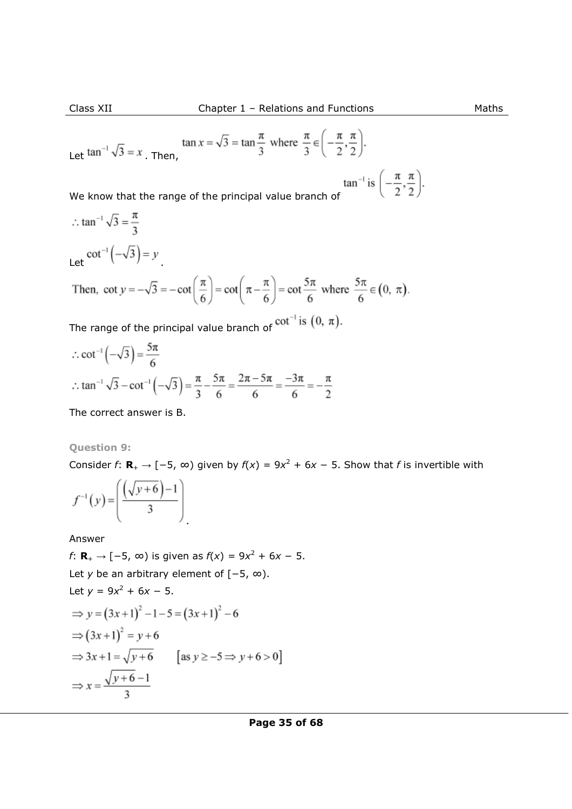Let 
$$
\tan^{-1}\sqrt{3} = x
$$
. Then,  $\tan x = \sqrt{3} = \tan \frac{\pi}{3}$  where  $\frac{\pi}{3} \in \left(-\frac{\pi}{2}, \frac{\pi}{2}\right)$ .

We know that the range of the principal value branch of  $\tan^{-1}$  is  $\left(-\frac{\pi}{2}, \frac{\pi}{2}\right)$ .

$$
\therefore \tan^{-1} \sqrt{3} = \frac{\pi}{3}
$$
  
Let 
$$
\cot^{-1} \left( -\sqrt{3} \right) = y
$$

Then, 
$$
\cot y = -\sqrt{3} = -\cot\left(\frac{\pi}{6}\right) = \cot\left(\pi - \frac{\pi}{6}\right) = \cot\frac{5\pi}{6}
$$
 where  $\frac{5\pi}{6} \in (0, \pi)$ .

The range of the principal value branch of  $\cot^{-1}$  is  $(0, \pi)$ .

$$
\therefore \cot^{-1}\left(-\sqrt{3}\right) = \frac{5\pi}{6}
$$
  
\n
$$
\therefore \tan^{-1}\sqrt{3} - \cot^{-1}\left(-\sqrt{3}\right) = \frac{\pi}{3} - \frac{5\pi}{6} = \frac{2\pi - 5\pi}{6} = \frac{-3\pi}{6} = -\frac{\pi}{2}
$$

The correct answer is B.

**Question 9:** 

Consider *f*:  $\mathbf{R}_{+} \rightarrow [-5, \infty)$  given by  $f(x) = 9x^2 + 6x - 5$ . Show that *f* is invertible with

$$
f^{-1}(y) = \left(\frac{\left(\sqrt{y+6}\right)-1}{3}\right)
$$

Answer

*f*: **R**<sub>+</sub> → [−5, ∞) is given as  $f(x) = 9x^2 + 6x - 5$ . Let *y* be an arbitrary element of [−5, ∞). Let  $y = 9x^2 + 6x - 5$ .  $\Rightarrow y = (3x+1)^2 - 1 - 5 = (3x+1)^2 - 6$  $\Rightarrow (3x+1)^2 = y+6$  $\Rightarrow$  3x + 1 =  $\sqrt{y+6}$  [as  $y \ge -5 \Rightarrow y+6 > 0$ ]  $\Rightarrow x = \frac{\sqrt{y+6}-1}{2}$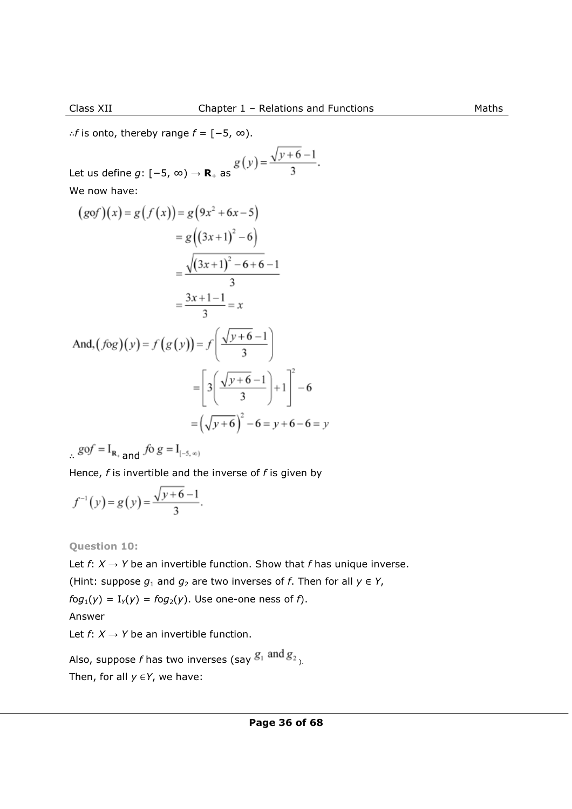∴*f* is onto, thereby range  $f = [-5, \infty)$ .

Let us define 
$$
g: [-5, \infty) \to \mathbf{R}_+
$$
 as  $g(y) = \frac{\sqrt{y+6}-1}{3}$ .

We now have:

$$
(gof)(x) = g(f(x)) = g(9x^2 + 6x - 5)
$$
  
=  $g((3x+1)^2 - 6)$   
=  $\frac{\sqrt{(3x+1)^2 - 6 + 6} - 1}{3}$   
=  $\frac{3x+1-1}{3} = x$   
And,  $(fog)(y) = f(g(y)) = f\left(\frac{\sqrt{y+6} - 1}{3}\right)$   
=  $\left[3\left(\frac{\sqrt{y+6} - 1}{3}\right) + 1\right]^2 - 6$ 

$$
= \left(\sqrt{y+6}\right)^2 - 6 = y + 6 - 6 = y
$$

$$
gof = I_{R_+}
$$
 and  $f \circ g = I_{(-5, \infty)}$ 

Hence, *f* is invertible and the inverse of *f* is given by

$$
f^{-1}(y) = g(y) = \frac{\sqrt{y+6}-1}{3}
$$
.

**Question 10:** 

Let  $f: X \rightarrow Y$  be an invertible function. Show that f has unique inverse.

(Hint: suppose  $g_1$  and  $g_2$  are two inverses of *f*. Then for all  $y \in Y$ ,

 $f \circ g_1(y) = I_Y(y) = f \circ g_2(y)$ . Use one-one ness of *f*).

Answer

Let  $f: X \rightarrow Y$  be an invertible function.

Also, suppose *f* has two inverses (say  $g_1$  and  $g_2$ ). Then, for all  $y \in Y$ , we have: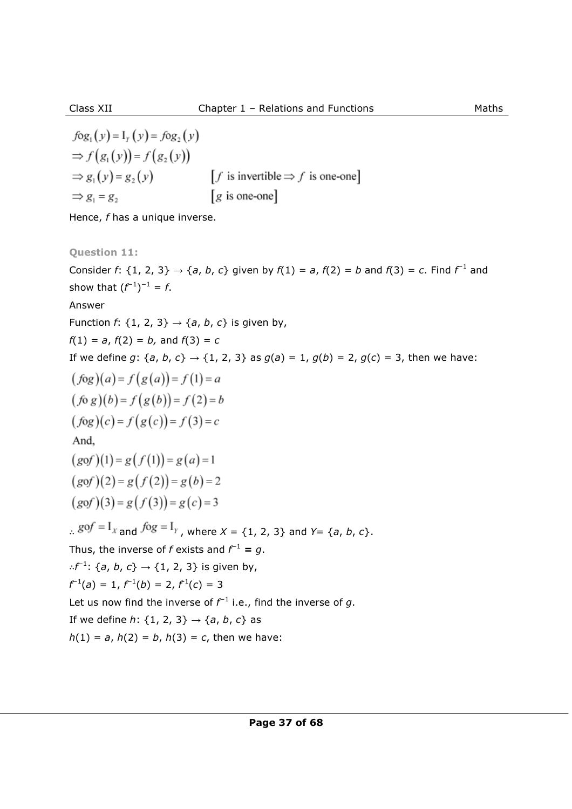$f \circ g_1(y) = I_y(y) = f \circ g_2(y)$  $\Rightarrow$   $f(g_1(y)) = f(g_2(y))$  $\Rightarrow$  g<sub>1</sub>(y) = g<sub>2</sub>(y)  $[f$  is invertible  $\Rightarrow$  f is one-one]  $[g$  is one-one]  $\Rightarrow$  g<sub>1</sub> = g<sub>2</sub>

Hence, *f* has a unique inverse.

**Question 11:** 

Consider *f*: {1, 2, 3} → {*a*, *b*, *c*} given by  $f(1) = a$ ,  $f(2) = b$  and  $f(3) = c$ . Find  $f^{-1}$  and show that  $(f^{-1})^{-1} = f$ . Answer Function *f*:  $\{1, 2, 3\} \rightarrow \{a, b, c\}$  is given by,  $f(1) = a, f(2) = b,$  and  $f(3) = c$ If we define *g*:  $\{a, b, c\} \rightarrow \{1, 2, 3\}$  as  $q(a) = 1$ ,  $q(b) = 2$ ,  $q(c) = 3$ , then we have:  $(f \circ g)(a) = f(g(a)) = f(1) = a$  $(f \circ g)(b) = f(g(b)) = f(2) = b$  $(fog)(c) = f(g(c)) = f(3) = c$ And.  $(gof)(1) = g(f(1)) = g(a) = 1$  $(gof)(2) = g(f(2)) = g(b) = 2$  $(gof)(3) = g(f(3)) = g(c) = 3$  $gof = I_x$  and  $fog = I_y$  where  $X = \{1, 2, 3\}$  and  $Y = \{a, b, c\}$ . Thus, the inverse of *f* exists and  $f^{-1} = g$ . ∴*f* −1: {*a*, *b*, *c*} → {1, 2, 3} is given by,  $f^{-1}(a) = 1, f^{-1}(b) = 2, f^{1}(c) = 3$ Let us now find the inverse of *f* −1 i.e., find the inverse of *g*. If we define *h*: {1, 2, 3}  $\rightarrow$  {*a*, *b*, *c*} as  $h(1) = a, h(2) = b, h(3) = c$ , then we have: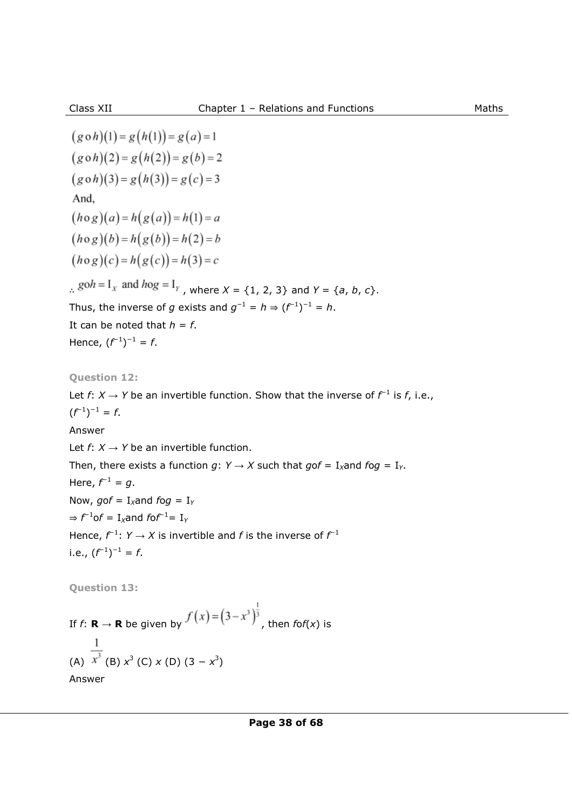$(g \circ h)(1) = g(h(1)) = g(a) = 1$  $(g \circ h)(2) = g(h(2)) = g(b) = 2$  $(g \circ h)(3) = g(h(3)) = g(c) = 3$ And.  $(h \circ g)(a) = h(g(a)) = h(1) = a$  $(h \circ g)(b) = h(g(b)) = h(2) = b$  $(h \circ g)(c) = h(g(c)) = h(3) = c$  $g \circ h = I_x$  and  $h \circ g = I_y$ , where  $X = \{1, 2, 3\}$  and  $Y = \{a, b, c\}$ . Thus, the inverse of *g* exists and  $g^{-1} = h \Rightarrow (f^{-1})^{-1} = h$ . It can be noted that  $h = f$ . Hence,  $(f^{-1})^{-1} = f$ . **Question 12:**  Let  $f: X \rightarrow Y$  be an invertible function. Show that the inverse of  $f^{-1}$  is  $f$ , i.e.,  $(f^{-1})^{-1} = f.$ Answer Let  $f: X \rightarrow Y$  be an invertible function. Then, there exists a function *g*:  $Y \rightarrow X$  such that *gof* = I<sub>x</sub>and *fog* = I<sub>Y</sub>. Here,  $f^{-1} = g$ . Now,  $qof = I_x$ and  $f \circ q = I_y$  $\Rightarrow$   $f^{-1}$ o $f = I_\chi$ and *f*o $f^{-1} = I_\gamma$ Hence,  $f^{-1}: Y \to X$  is invertible and *f* is the inverse of  $f^{-1}$ i.e.,  $(f^{-1})^{-1} = f$ . **Question 13:**  If  $f: \mathbf{R} \to \mathbf{R}$  be given by  $f(x) = (3 - x^3)^{\frac{1}{3}}$ , then *fof*(*x*) is (A)  $x^3$  (B)  $x^3$  (C)  $x$  (D)  $(3 - x^3)$ Answer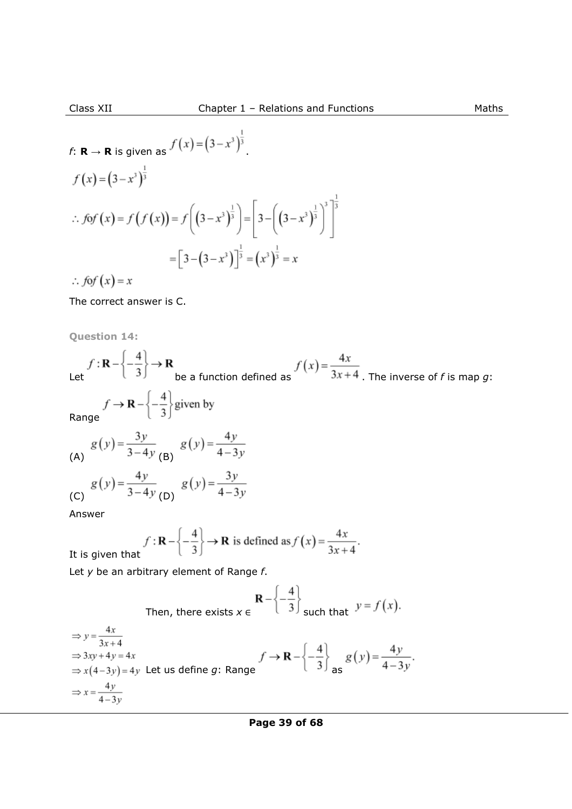f: 
$$
\mathbf{R} \to \mathbf{R}
$$
 is given as  $f(x) = (3 - x^3)^{\frac{1}{3}}$   
\n $f(x) = (3 - x^3)^{\frac{1}{3}}$   
\n $\therefore$  fof  $(x) = f(f(x)) = f((3 - x^3)^{\frac{1}{3}}) = \left[3 - ((3 - x^3)^{\frac{1}{3}})^3\right]^{\frac{1}{3}}$   
\n $= \left[3 - (3 - x^3)\right]^{\frac{1}{3}} = (x^3)^{\frac{1}{3}} = x$   
\n $\therefore$  fof  $(x) = x$ 

The correct answer is C.

**Question 14:** 

$$
f: \mathbf{R} - \left\{-\frac{4}{3}\right\} \to \mathbf{R}
$$
  
Let  
 $f \to \mathbf{R} - \left\{-\frac{4}{3}\right\}$  be a function defined as  $f(x) = \frac{4x}{3x+4}$ . The inverse of *f* is map *g*:  
Range

(A) 
$$
g(y) = \frac{3y}{3-4y}
$$
  $g(y) = \frac{4y}{4-3y}$ 

(C) 
$$
g(y) = \frac{4y}{3-4y}
$$
 (D)  $g(y) = \frac{3y}{4-3y}$ 

Answer

$$
f: \mathbf{R} - \left\{-\frac{4}{3}\right\} \to \mathbf{R}
$$
 is defined as  $f(x) = \frac{4x}{3x+4}$ .

It is given that Let *y* be an arbitrary element of Range *f*.

Then, there exists 
$$
x \in \mathbb{R} - \left\{ -\frac{4}{3} \right\}
$$
 such that  $y = f(x)$ .  
\n
$$
\Rightarrow y = \frac{4x}{3x+4}
$$
\n
$$
\Rightarrow 3xy + 4y = 4x
$$
\n
$$
\Rightarrow x(4-3y) = 4y \text{ Let us define } g \text{: Range}
$$
\n
$$
x = \frac{4y}{4-3y}
$$